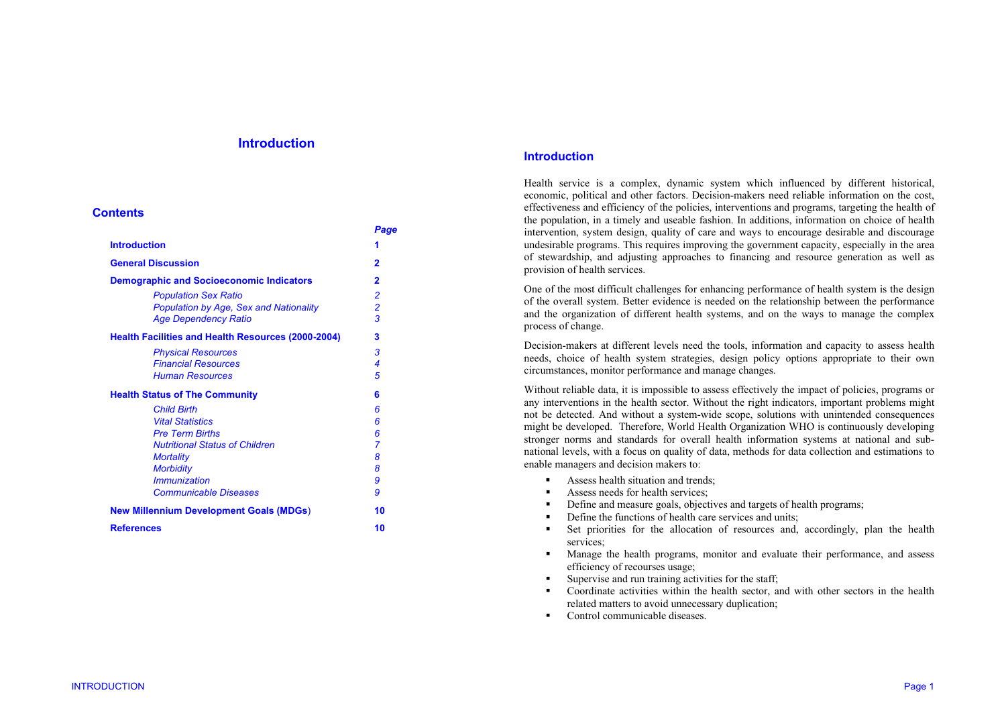## **Introduction**

### **Contents**

|                                                           | Page           |
|-----------------------------------------------------------|----------------|
| <b>Introduction</b>                                       | 1              |
| <b>General Discussion</b>                                 | $\overline{2}$ |
| <b>Demographic and Socioeconomic Indicators</b>           | 2              |
| <b>Population Sex Ratio</b>                               | $\overline{2}$ |
| Population by Age, Sex and Nationality                    | $\overline{c}$ |
| <b>Age Dependency Ratio</b>                               | 3              |
| <b>Health Facilities and Health Resources (2000-2004)</b> | 3              |
| <b>Physical Resources</b>                                 | 3              |
| <b>Financial Resources</b>                                | 4              |
| <b>Human Resources</b>                                    | 5              |
| <b>Health Status of The Community</b>                     | 6              |
| <b>Child Birth</b>                                        | 6              |
| <b>Vital Statistics</b>                                   | 6              |
| <b>Pre Term Births</b>                                    | 6              |
| <b>Nutritional Status of Children</b>                     | 7              |
| <b>Mortality</b>                                          | 8              |
| <b>Morbidity</b>                                          | 8              |
| <i><b>Immunization</b></i>                                | 9              |
| <b>Communicable Diseases</b>                              | 9              |
| <b>New Millennium Development Goals (MDGs)</b>            | 10             |
| <b>References</b>                                         | 10             |

## **Introduction**

Health service is a complex, dynamic system which influenced by different historical, economic, political and other factors. Decision-makers need reliable information on the cost, effectiveness and efficiency of the policies, interventions and programs, targeting the health of the population, in a timely and useable fashion. In additions, information on choice of health intervention, system design, quality of care and ways to encourage desirable and discourage undesirable programs. This requires improving the government capacity, especially in the area of stewardship, and adjusting approaches to financing and resource generation as well as provision of health services.

One of the most difficult challenges for enhancing performance of health system is the design of the overall system. Better evidence is needed on the relationship between the performance and the organization of different health systems, and on the ways to manage the complex process of change.

Decision-makers at different levels need the tools, information and capacity to assess health needs, choice of health system strategies, design policy options appropriate to their own circumstances, monitor performance and manage changes.

Without reliable data, it is impossible to assess effectively the impact of policies, programs or any interventions in the health sector. Without the right indicators, important problems might not be detected. And without a system-wide scope, solutions with unintended consequences might be developed. Therefore, World Health Organization WHO is continuously developing stronger norms and standards for overall health information systems at national and subnational levels, with a focus on quality of data, methods for data collection and estimations to enable managers and decision makers to:

- $\bullet$ Assess health situation and trends;
- $\blacksquare$ Assess needs for health services;
- n Define and measure goals, objectives and targets of health programs;
- $\blacksquare$ Define the functions of health care services and units;
- $\bullet$  Set priorities for the allocation of resources and, accordingly, plan the health services;
- $\blacksquare$  Manage the health programs, monitor and evaluate their performance, and assess efficiency of recourses usage;
- Supervise and run training activities for the staff;
- $\bullet$  Coordinate activities within the health sector, and with other sectors in the health related matters to avoid unnecessary duplication;
- $\blacksquare$ Control communicable diseases.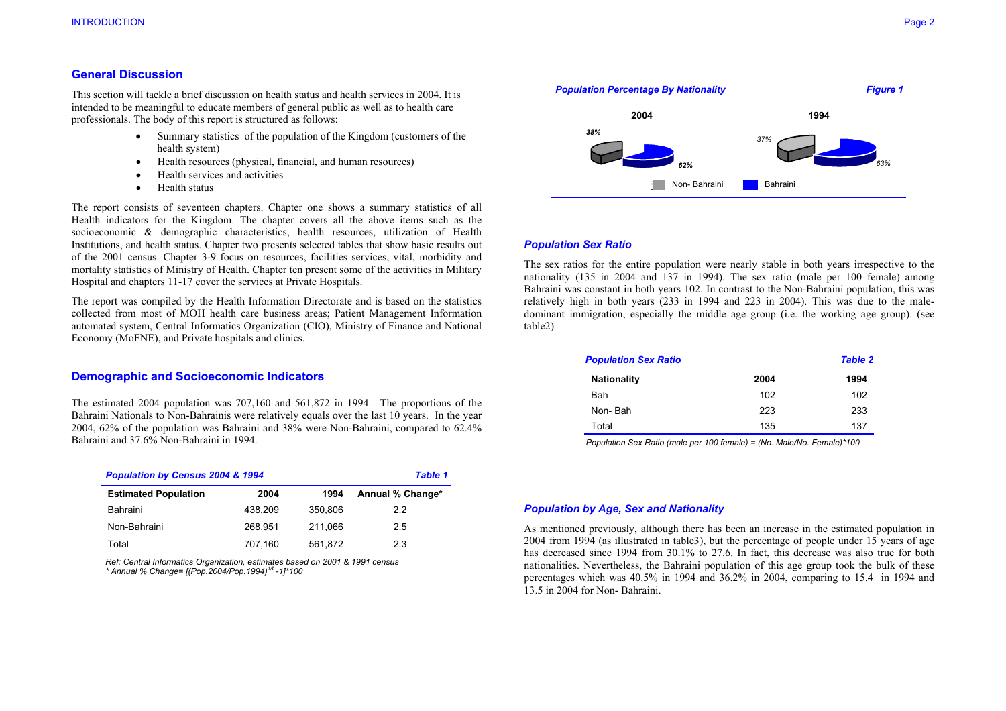## **General Discussion**

This section will tackle a brief discussion on health status and health services in 2004. It is intended to be meaningful to educate members of general public as well as to health care professionals. The body of this report is structured as follows:

- Summary statistics of the population of the Kingdom (customers of the health system)
- •Health resources (physical, financial, and human resources)
- •Health services and activities
- •Health status

The report consists of seventeen chapters. Chapter one shows a summary statistics of all Health indicators for the Kingdom. The chapter covers all the above items such as the socioeconomic & demographic characteristics, health resources, utilization of Health Institutions, and health status. Chapter two presents selected tables that show basic results out of the 2001 census. Chapter 3-9 focus on resources, facilities services, vital, morbidity and mortality statistics of Ministry of Health. Chapter ten present some of the activities in Military Hospital and chapters 11-17 cover the services at Private Hospitals.

The report was compiled by the Health Information Directorate and is based on the statistics collected from most of MOH health care business areas; Patient Management Information automated system, Central Informatics Organization (CIO), Ministry of Finance and National Economy (MoFNE), and Private hospitals and clinics.

## **Demographic and Socioeconomic Indicators**

The estimated 2004 population was 707,160 and 561,872 in 1994. The proportions of the Bahraini Nationals to Non-Bahrainis were relatively equals over the last 10 years. In the year 2004, 62% of the population was Bahraini and 38% were Non-Bahraini, compared to 62.4% Bahraini and 37.6% Non-Bahraini in 1994.

| <b>Population by Census 2004 &amp; 1994</b> | <b>Table 1</b> |         |                  |
|---------------------------------------------|----------------|---------|------------------|
| <b>Estimated Population</b>                 | 2004           | 1994    | Annual % Change* |
| Bahraini                                    | 438.209        | 350,806 | 2.2              |
| Non-Bahraini                                | 268.951        | 211.066 | 2.5              |
| Total                                       | 707,160        | 561,872 | 2.3              |

*Ref: Central Informatics Organization, estimates based on 2001 & 1991 census \* Annual % Change= [(Pop.2004/Pop.1994)1/t -1]\*100* 



#### *Population Sex Ratio*

The sex ratios for the entire population were nearly stable in both years irrespective to the nationality (135 in 2004 and 137 in 1994). The sex ratio (male per 100 female) among Bahraini was constant in both years 102. In contrast to the Non-Bahraini population, this was relatively high in both years (233 in 1994 and 223 in 2004). This was due to the maledominant immigration, especially the middle age group (i.e. the working age group). (see table2)

| <b>Population Sex Ratio</b> |      | <b>Table 2</b> |
|-----------------------------|------|----------------|
| <b>Nationality</b>          | 2004 | 1994           |
| Bah                         | 102  | 102            |
| Non-Bah                     | 223  | 233            |
| Total                       | 135  | 137            |

 *Population Sex Ratio (male per 100 female) = (No. Male/No. Female)\*100* 

#### *Population by Age, Sex and Nationality*

As mentioned previously, although there has been an increase in the estimated population in 2004 from 1994 (as illustrated in table3), but the percentage of people under 15 years of age has decreased since 1994 from 30.1% to 27.6. In fact, this decrease was also true for both nationalities. Nevertheless, the Bahraini population of this age group took the bulk of these percentages which was 40.5% in 1994 and 36.2% in 2004, comparing to 15.4 in 1994 and 13.5 in 2004 for Non- Bahraini.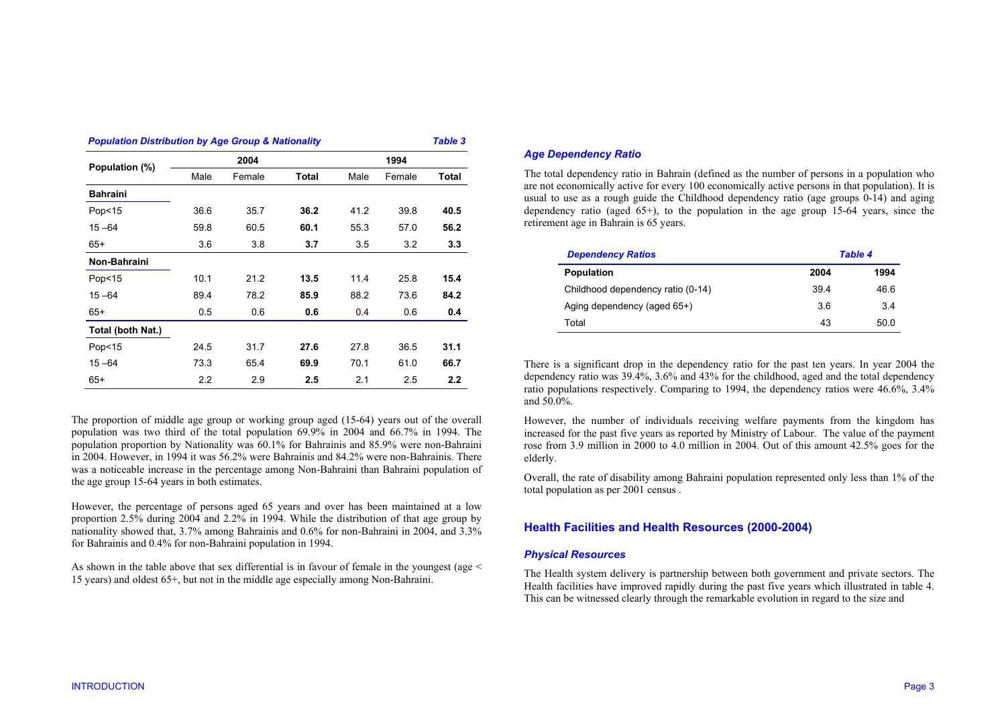| <b>Population Distribution by Age Group &amp; Nationality</b> |      |        |              |      |        | <b>Table 3</b> |  |
|---------------------------------------------------------------|------|--------|--------------|------|--------|----------------|--|
| Population (%)                                                |      | 2004   |              | 1994 |        |                |  |
|                                                               | Male | Female | <b>Total</b> | Male | Female | Total          |  |
| <b>Bahraini</b>                                               |      |        |              |      |        |                |  |
| Pop <sub>15</sub>                                             | 36.6 | 35.7   | 36.2         | 41.2 | 39.8   | 40.5           |  |
| $15 - 64$                                                     | 59.8 | 60.5   | 60.1         | 55.3 | 57.0   | 56.2           |  |
| $65+$                                                         | 3.6  | 3.8    | 3.7          | 3.5  | 3.2    | 3.3            |  |
| Non-Bahraini                                                  |      |        |              |      |        |                |  |
| Pop<15                                                        | 10.1 | 21.2   | 13.5         | 11.4 | 25.8   | 15.4           |  |
| $15 - 64$                                                     | 89.4 | 78.2   | 85.9         | 88.2 | 73.6   | 84.2           |  |
| $65+$                                                         | 0.5  | 0.6    | 0.6          | 0.4  | 0.6    | 0.4            |  |
| Total (both Nat.)                                             |      |        |              |      |        |                |  |
| Pop <sub>15</sub>                                             | 24.5 | 31.7   | 27.6         | 27.8 | 36.5   | 31.1           |  |
| $15 - 64$                                                     | 73.3 | 65.4   | 69.9         | 70.1 | 61.0   | 66.7           |  |
| $65+$                                                         | 2.2  | 2.9    | 2.5          | 2.1  | 2.5    | 2.2            |  |

The proportion of middle age group or working group aged (15-64) years out of the overall population was two third of the total population 69.9% in 2004 and 66.7% in 1994. The population proportion by Nationality was 60.1% for Bahrainis and 85.9% were non-Bahraini in 2004. However, in 1994 it was 56.2% were Bahrainis and 84.2% were non-Bahrainis. There was a noticeable increase in the percentage among Non-Bahraini than Bahraini population of the age group 15-64 years in both estimates.

However, the percentage of persons aged 65 years and over has been maintained at a low proportion 2.5% during 2004 and 2.2% in 1994. While the distribution of that age group by nationality showed that, 3.7% among Bahrainis and 0.6% for non-Bahraini in 2004, and 3.3% for Bahrainis and 0.4% for non-Bahraini population in 1994.

As shown in the table above that sex differential is in favour of female in the youngest (age < 15 years) and oldest 65+, but not in the middle age especially among Non-Bahraini.

## *Age Dependency Ratio*

The total dependency ratio in Bahrain (defined as the number of persons in a population who are not economically active for every 100 economically active persons in that population). It is usual to use as a rough guide the Childhood dependency ratio (age groups  $0-14$ ) and aging dependency ratio (aged  $65+$ ), to the population in the age group  $15-64$  years, since the retirement age in Bahrain is 65 years.

| <b>Dependency Ratios</b>          | <b>Table 4</b> |      |  |  |
|-----------------------------------|----------------|------|--|--|
| <b>Population</b>                 | 2004           | 1994 |  |  |
| Childhood dependency ratio (0-14) | 394            | 46.6 |  |  |
| Aging dependency (aged 65+)       | 36             | 3.4  |  |  |
| Total                             | 43             | 50.0 |  |  |

There is a significant drop in the dependency ratio for the past ten years. In year 2004 the dependency ratio was 39.4%, 3.6% and 43% for the childhood, aged and the total dependency ratio populations respectively. Comparing to 1994, the dependency ratios were 46.6%, 3.4% and 50.0%.

However, the number of individuals receiving welfare payments from the kingdom has increased for the past five years as reported by Ministry of Labour. The value of the payment rose from 3.9 million in 2000 to 4.0 million in 2004. Out of this amount 42.5% goes for the elderly.

Overall, the rate of disability among Bahraini population represented only less than 1% of the total population as per 2001 census .

# **Health Facilities and Health Resources (2000-2004)**

#### *Physical Resources*

The Health system delivery is partnership between both government and private sectors. The Health facilities have improved rapidly during the past five years which illustrated in table 4. This can be witnessed clearly through the remarkable evolution in regard to the size and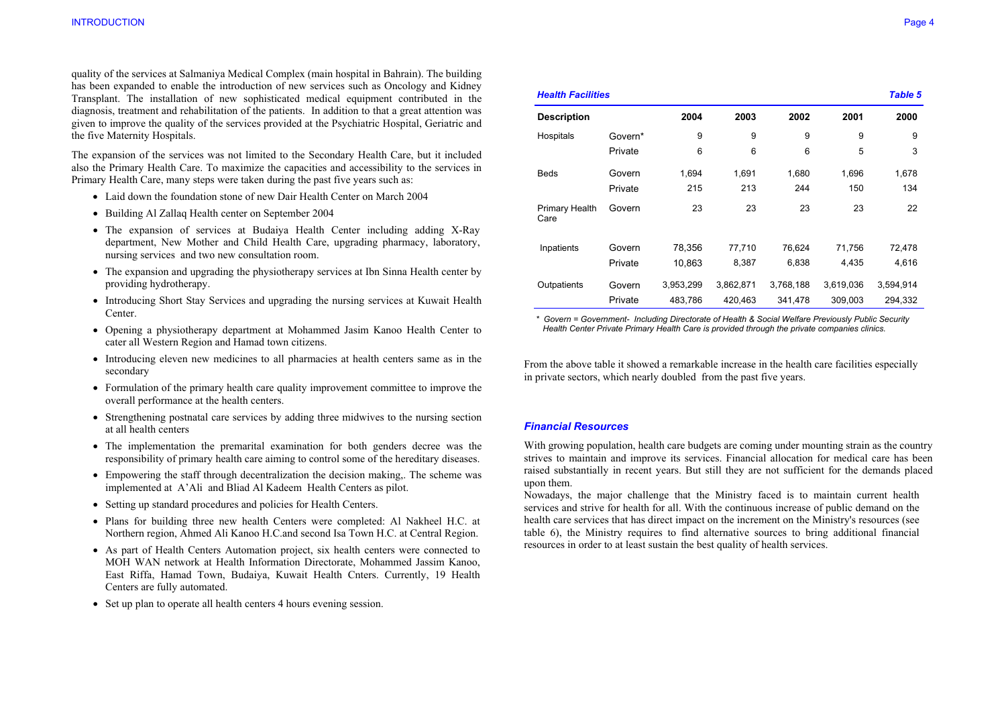quality of the services at Salmaniya Medical Complex (main hospital in Bahrain). The building has been expanded to enable the introduction of new services such as Oncology and Kidney Transplant. The installation of new sophisticated medical equipment contributed in the diagnosis, treatment and rehabilitation of the patients. In addition to that a great attention was given to improve the quality of the services provided at the Psychiatric Hospital, Geriatric and the five Maternity Hospitals.

The expansion of the services was not limited to the Secondary Health Care, but it included also the Primary Health Care. To maximize the capacities and accessibility to the services in Primary Health Care, many steps were taken during the past five years such as:

- Laid down the foundation stone of new Dair Health Center on March 2004
- Building Al Zallaq Health center on September 2004
- The expansion of services at Budaiya Health Center including adding X-Ray department, New Mother and Child Health Care, upgrading pharmacy, laboratory, nursing services and two new consultation room.
- The expansion and upgrading the physiotherapy services at Ibn Sinna Health center by providing hydrotherapy.
- Introducing Short Stay Services and upgrading the nursing services at Kuwait Health Center.
- Opening a physiotherapy department at Mohammed Jasim Kanoo Health Center to cater all Western Region and Hamad town citizens.
- Introducing eleven new medicines to all pharmacies at health centers same as in the secondary
- Formulation of the primary health care quality improvement committee to improve the overall performance at the health centers.
- Strengthening postnatal care services by adding three midwives to the nursing section at all health centers
- The implementation the premarital examination for both genders decree was the responsibility of primary health care aiming to control some of the hereditary diseases.
- Empowering the staff through decentralization the decision making,. The scheme was implemented at A'Ali and Bliad Al Kadeem Health Centers as pilot.
- Setting up standard procedures and policies for Health Centers.
- Plans for building three new health Centers were completed: Al Nakheel H.C. at Northern region, Ahmed Ali Kanoo H.C.and second Isa Town H.C. at Central Region.
- As part of Health Centers Automation project, six health centers were connected to MOH WAN network at Health Information Directorate, Mohammed Jassim Kanoo, East Riffa, Hamad Town, Budaiya, Kuwait Health Cnters. Currently, 19 Health Centers are fully automated.
- Set up plan to operate all health centers 4 hours evening session.

| <b>Health Facilities</b> |         |           |           |           |           | <b>Table 5</b> |
|--------------------------|---------|-----------|-----------|-----------|-----------|----------------|
| <b>Description</b>       |         | 2004      | 2003      | 2002      | 2001      | 2000           |
| Hospitals                | Govern* | 9         | 9         | 9         | 9         | 9              |
|                          | Private | 6         | 6         | 6         | 5         | 3              |
| <b>Beds</b>              | Govern  | 1,694     | 1,691     | 1,680     | 1,696     | 1,678          |
|                          | Private | 215       | 213       | 244       | 150       | 134            |
| Primary Health<br>Care   | Govern  | 23        | 23        | 23        | 23        | 22             |
| Inpatients               | Govern  | 78.356    | 77,710    | 76,624    | 71,756    | 72,478         |
|                          | Private | 10,863    | 8,387     | 6,838     | 4,435     | 4,616          |
| Outpatients              | Govern  | 3,953,299 | 3,862,871 | 3,768,188 | 3,619,036 | 3,594,914      |
|                          | Private | 483,786   | 420.463   | 341.478   | 309.003   | 294.332        |

 *\* Govern = Government- Including Directorate of Health & Social Welfare Previously Public Security Health Center Private Primary Health Care is provided through the private companies clinics.* 

From the above table it showed a remarkable increase in the health care facilities especially in private sectors, which nearly doubled from the past five years.

## *Financial Resources*

With growing population, health care budgets are coming under mounting strain as the country strives to maintain and improve its services. Financial allocation for medical care has been raised substantially in recent years. But still they are not sufficient for the demands placed upon them.

Nowadays, the major challenge that the Ministry faced is to maintain current health services and strive for health for all. With the continuous increase of public demand on the health care services that has direct impact on the increment on the Ministry's resources (see table 6), the Ministry requires to find alternative sources to bring additional financial resources in order to at least sustain the best quality of health services.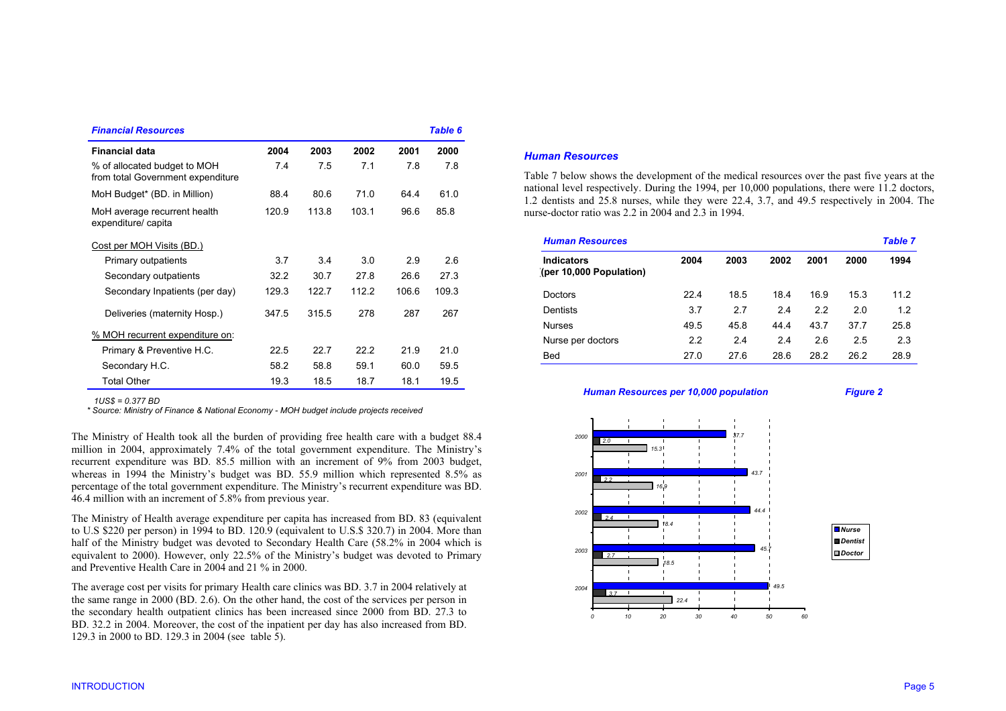| <b>Financial Resources</b>                                        |       |       |       |       | Table 6 |
|-------------------------------------------------------------------|-------|-------|-------|-------|---------|
| <b>Financial data</b>                                             | 2004  | 2003  | 2002  | 2001  | 2000    |
| % of allocated budget to MOH<br>from total Government expenditure | 7.4   | 7.5   | 7.1   | 7.8   | 7.8     |
| MoH Budget* (BD. in Million)                                      | 88.4  | 80.6  | 71.0  | 64.4  | 61.0    |
| MoH average recurrent health<br>expenditure/capita                | 120.9 | 113.8 | 103.1 | 96.6  | 85.8    |
| Cost per MOH Visits (BD.)                                         |       |       |       |       |         |
| Primary outpatients                                               | 37    | 34    | 3.0   | 29    | 2.6     |
| Secondary outpatients                                             | 32.2  | 30.7  | 27.8  | 26.6  | 27.3    |
| Secondary Inpatients (per day)                                    | 129.3 | 122.7 | 112.2 | 106.6 | 109.3   |
| Deliveries (maternity Hosp.)                                      | 347.5 | 315.5 | 278   | 287   | 267     |
| % MOH recurrent expenditure on:                                   |       |       |       |       |         |
| Primary & Preventive H.C.                                         | 22.5  | 22.7  | 22.2  | 21.9  | 21.0    |
| Secondary H.C.                                                    | 58.2  | 58.8  | 59.1  | 60.0  | 59.5    |
| <b>Total Other</b>                                                | 19.3  | 18.5  | 18.7  | 18.1  | 19.5    |

 *1US\$ = 0.377 BD* 

 *\* Source: Ministry of Finance & National Economy - MOH budget include projects received* 

The Ministry of Health took all the burden of providing free health care with a budget 88.4 million in 2004, approximately 7.4% of the total government expenditure. The Ministry's recurrent expenditure was BD. 85.5 million with an increment of 9% from 2003 budget, whereas in 1994 the Ministry's budget was BD. 55.9 million which represented 8.5% as percentage of the total government expenditure. The Ministry's recurrent expenditure was BD. 46.4 million with an increment of 5.8% from previous year.

The Ministry of Health average expenditure per capita has increased from BD. 83 (equivalent to U.S \$220 per person) in 1994 to BD. 120.9 (equivalent to U.S.\$ 320.7) in 2004. More than half of the Ministry budget was devoted to Secondary Health Care (58.2% in 2004 which is equivalent to 2000). However, only 22.5% of the Ministry's budget was devoted to Primary and Preventive Health Care in 2004 and 21 % in 2000.

The average cost per visits for primary Health care clinics was BD. 3.7 in 2004 relatively at the same range in 2000 (BD. 2.6). On the other hand, the cost of the services per person in the secondary health outpatient clinics has been increased since 2000 from BD. 27.3 to BD. 32.2 in 2004. Moreover, the cost of the inpatient per day has also increased from BD. 129.3 in 2000 to BD. 129.3 in 2004 (see table 5).

## *Human Resources*

Table 7 below shows the development of the medical resources over the past five years at the national level respectively. During the 1994, per 10,000 populations, there were 11.2 doctors, 1.2 dentists and 25.8 nurses, while they were 22.4, 3.7, and 49.5 respectively in 2004. The nurse-doctor ratio was 2.2 in 2004 and 2.3 in 1994.

| <b>Human Resources</b>                       |      |      |      |      |      | <b>Table 7</b> |  |
|----------------------------------------------|------|------|------|------|------|----------------|--|
| <b>Indicators</b><br>(per 10,000 Population) | 2004 | 2003 | 2002 | 2001 | 2000 | 1994           |  |
| <b>Doctors</b>                               | 22.4 | 18.5 | 18.4 | 16.9 | 15.3 | 11.2           |  |
| Dentists                                     | 3.7  | 2.7  | 2.4  | 2.2  | 2.0  | 1.2            |  |
| <b>Nurses</b>                                | 49.5 | 45.8 | 44.4 | 43.7 | 37.7 | 25.8           |  |
| Nurse per doctors                            | 2.2  | 2.4  | 2.4  | 2.6  | 2.5  | 2.3            |  |
| <b>Bed</b>                                   | 27.0 | 27.6 | 28.6 | 28.2 | 26.2 | 28.9           |  |

#### *Human Resources per 10,000 population Figure 2*

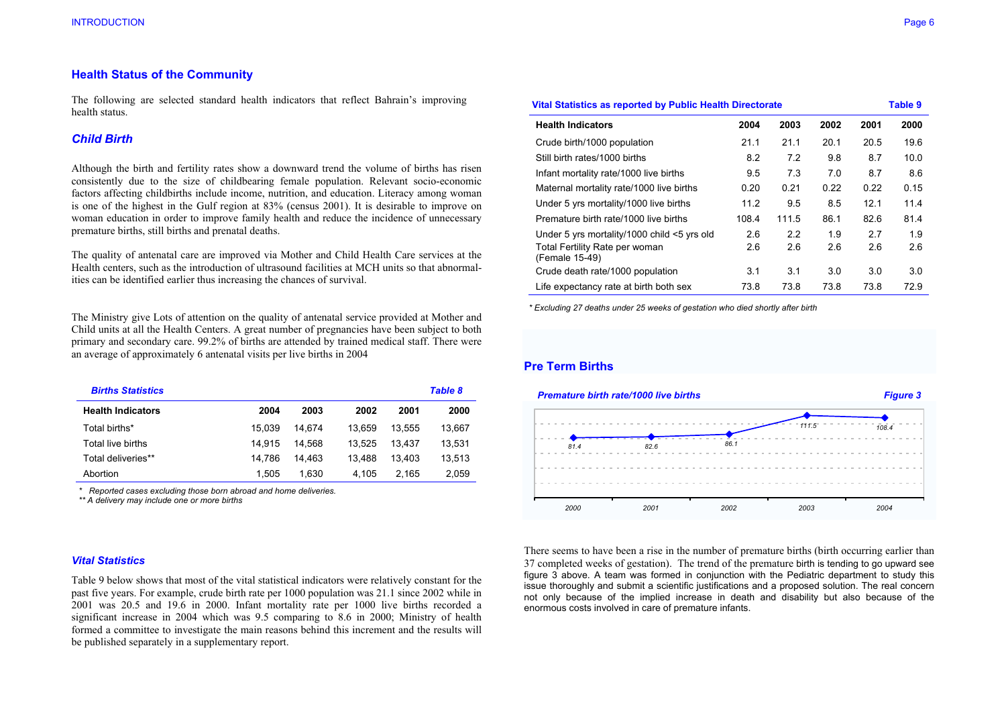## **Health Status of the Community**

The following are selected standard health indicators that reflect Bahrain's improving health status.

## *Child Birth*

Although the birth and fertility rates show a downward trend the volume of births has risen consistently due to the size of childbearing female population. Relevant socio-economic factors affecting childbirths include income, nutrition, and education. Literacy among woman is one of the highest in the Gulf region at 83% (census 2001). It is desirable to improve on woman education in order to improve family health and reduce the incidence of unnecessary premature births, still births and prenatal deaths.

The quality of antenatal care are improved via Mother and Child Health Care services at the Health centers, such as the introduction of ultrasound facilities at MCH units so that abnormalities can be identified earlier thus increasing the chances of survival.

The Ministry give Lots of attention on the quality of antenatal service provided at Mother and Child units at all the Health Centers. A great number of pregnancies have been subject to both primary and secondary care. 99.2% of births are attended by trained medical staff. There were an average of approximately 6 antenatal visits per live births in 2004

| <b>Births Statistics</b> |        |        |        |        | <b>Table 8</b> |
|--------------------------|--------|--------|--------|--------|----------------|
| <b>Health Indicators</b> | 2004   | 2003   | 2002   | 2001   | 2000           |
| Total births*            | 15.039 | 14.674 | 13.659 | 13.555 | 13.667         |
| Total live births        | 14.915 | 14.568 | 13.525 | 13.437 | 13,531         |
| Total deliveries**       | 14.786 | 14.463 | 13.488 | 13.403 | 13.513         |
| Abortion                 | 1.505  | 1.630  | 4.105  | 2.165  | 2.059          |

 *\* Reported cases excluding those born abroad and home deliveries.* 

 *\*\* A delivery may include one or more births* 

#### *Vital Statistics*

Table 9 below shows that most of the vital statistical indicators were relatively constant for the past five years. For example, crude birth rate per 1000 population was 21.1 since 2002 while in 2001 was 20.5 and 19.6 in 2000. Infant mortality rate per 1000 live births recorded a significant increase in 2004 which was 9.5 comparing to 8.6 in 2000; Ministry of health formed a committee to investigate the main reasons behind this increment and the results will be published separately in a supplementary report.

| Vital Statistics as reported by Public Health Directorate |       |       |      |      |      |  |
|-----------------------------------------------------------|-------|-------|------|------|------|--|
| <b>Health Indicators</b>                                  | 2004  | 2003  | 2002 | 2001 | 2000 |  |
| Crude birth/1000 population                               | 21.1  | 21.1  | 20.1 | 20.5 | 19.6 |  |
| Still birth rates/1000 births                             | 8.2   | 7.2   | 9.8  | 8.7  | 10.0 |  |
| Infant mortality rate/1000 live births                    | 9.5   | 7.3   | 7.0  | 8.7  | 8.6  |  |
| Maternal mortality rate/1000 live births                  | 0.20  | 0.21  | 0.22 | 0.22 | 0.15 |  |
| Under 5 yrs mortality/1000 live births                    | 11.2  | 9.5   | 8.5  | 12.1 | 11.4 |  |
| Premature birth rate/1000 live births                     | 108.4 | 111.5 | 86.1 | 82.6 | 81.4 |  |
| Under 5 yrs mortality/1000 child <5 yrs old               | 2.6   | 2.2   | 1.9  | 2.7  | 1.9  |  |
| Total Fertility Rate per woman<br>(Female 15-49)          | 2.6   | 2.6   | 2.6  | 2.6  | 2.6  |  |
| Crude death rate/1000 population                          | 3.1   | 3.1   | 3.0  | 3.0  | 3.0  |  |
| Life expectancy rate at birth both sex                    | 73.8  | 73.8  | 73.8 | 73.8 | 72.9 |  |

 *\* Excluding 27 deaths under 25 weeks of gestation who died shortly after birth* 

# **Pre Term Births**



There seems to have been a rise in the number of premature births (birth occurring earlier than 37 completed weeks of gestation). The trend of the premature birth is tending to go upward see figure 3 above. A team was formed in conjunction with the Pediatric department to study this issue thoroughly and submit a scientific justifications and a proposed solution. The real concern not only because of the implied increase in death and disability but also because of the enormous costs involved in care of premature infants.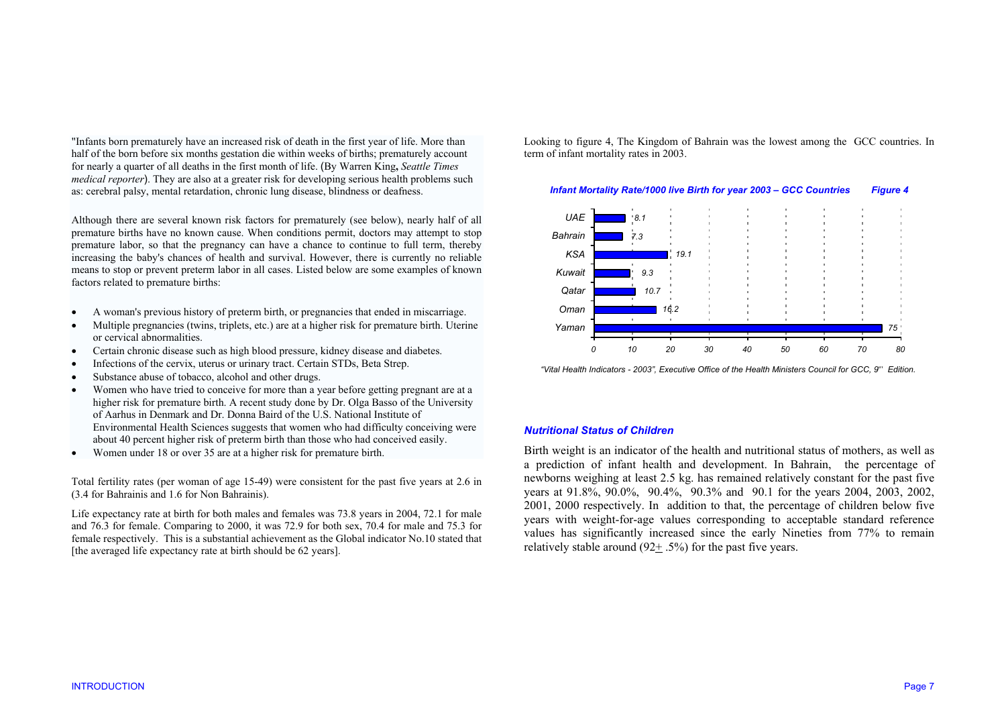"Infants born prematurely have an increased risk of death in the first year of life. More than half of the born before six months gestation die within weeks of births; prematurely account for nearly a quarter of all deaths in the first month of life. (By Warren King**,** *Seattle Times medical reporter*). They are also at a greater risk for developing serious health problems such as: cerebral palsy, mental retardation, chronic lung disease, blindness or deafness.

Although there are several known risk factors for prematurely (see below), nearly half of all premature births have no known cause. When conditions permit, doctors may attempt to stop premature labor, so that the pregnancy can have a chance to continue to full term, thereby increasing the baby's chances of health and survival. However, there is currently no reliable means to stop or prevent preterm labor in all cases. Listed below are some examples of known factors related to premature births:

- •A woman's previous history of preterm birth, or pregnancies that ended in miscarriage.
- • Multiple pregnancies (twins, triplets, etc.) are at a higher risk for premature birth. Uterine or cervical abnormalities.
- •Certain chronic disease such as high blood pressure, kidney disease and diabetes.
- •Infections of the cervix, uterus or urinary tract. Certain STDs, Beta Strep.
- •Substance abuse of tobacco, alcohol and other drugs.
- • Women who have tried to conceive for more than a year before getting pregnant are at a higher risk for premature birth. A recent study done by Dr. Olga Basso of the University of Aarhus in Denmark and Dr. Donna Baird of the U.S. National Institute of Environmental Health Sciences suggests that women who had difficulty conceiving were about 40 percent higher risk of preterm birth than those who had conceived easily.
- •Women under 18 or over 35 are at a higher risk for premature birth.

Total fertility rates (per woman of age 15-49) were consistent for the past five years at 2.6 in (3.4 for Bahrainis and 1.6 for Non Bahrainis).

Life expectancy rate at birth for both males and females was 73.8 years in 2004, 72.1 for male and 76.3 for female. Comparing to 2000, it was 72.9 for both sex, 70.4 for male and 75.3 for female respectively. This is a substantial achievement as the Global indicator No.10 stated that [the averaged life expectancy rate at birth should be 62 years].

Looking to figure 4, The Kingdom of Bahrain was the lowest among the GCC countries. In term of infant mortality rates in 2003.

#### *Infant Mortality Rate/1000 live Birth for year 2003 – GCC Countries Figure 4*



 *"Vital Health Indicators - 2003", Executive Office of the Health Ministers Council for GCC, 9th Edition.* 

#### *Nutritional Status of Children*

Birth weight is an indicator of the health and nutritional status of mothers, as well as a prediction of infant health and development. In Bahrain, the percentage of newborns weighing at least 2.5 kg. has remained relatively constant for the past five years at 91.8%, 90.0%, 90.4%, 90.3% and 90.1 for the years 2004, 2003, 2002, 2001, 2000 respectively. In addition to that, the percentage of children below five years with weight-for-age values corresponding to acceptable standard reference values has significantly increased since the early Nineties from 77% to remain relatively stable around  $(92+.5\%)$  for the past five years.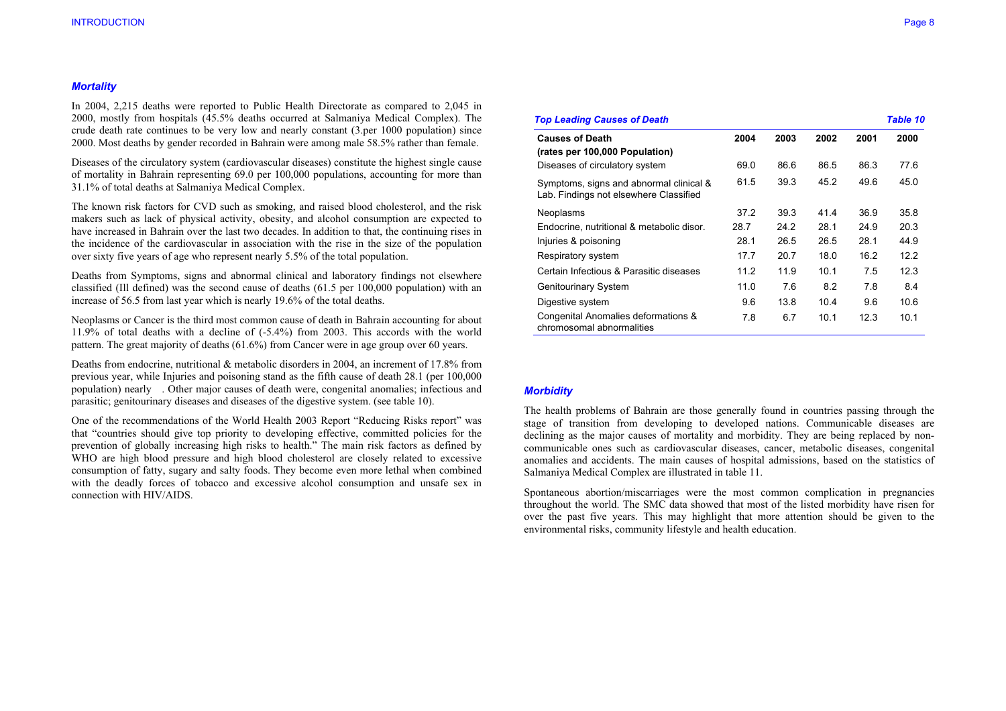#### *Mortality*

In 2004, 2,215 deaths were reported to Public Health Directorate as compared to 2,045 in 2000, mostly from hospitals (45.5% deaths occurred at Salmaniya Medical Complex). The crude death rate continues to be very low and nearly constant (3.per 1000 population) since 2000. Most deaths by gender recorded in Bahrain were among male 58.5% rather than female.

Diseases of the circulatory system (cardiovascular diseases) constitute the highest single cause of mortality in Bahrain representing 69.0 per 100,000 populations, accounting for more than 31.1% of total deaths at Salmaniya Medical Complex.

The known risk factors for CVD such as smoking, and raised blood cholesterol, and the risk makers such as lack of physical activity, obesity, and alcohol consumption are expected to have increased in Bahrain over the last two decades. In addition to that, the continuing rises in the incidence of the cardiovascular in association with the rise in the size of the population over sixty five years of age who represent nearly 5.5% of the total population.

Deaths from Symptoms, signs and abnormal clinical and laboratory findings not elsewhere classified (Ill defined) was the second cause of deaths (61.5 per 100,000 population) with an increase of 56.5 from last year which is nearly 19.6% of the total deaths.

Neoplasms or Cancer is the third most common cause of death in Bahrain accounting for about 11.9% of total deaths with a decline of (-5.4%) from 2003. This accords with the world pattern. The great majority of deaths (61.6%) from Cancer were in age group over 60 years.

Deaths from endocrine, nutritional & metabolic disorders in 2004, an increment of 17.8% from previous year, while Injuries and poisoning stand as the fifth cause of death 28.1 (per 100,000 population) nearly . Other major causes of death were, congenital anomalies; infectious and parasitic; genitourinary diseases and diseases of the digestive system. (see table 10).

One of the recommendations of the World Health 2003 Report "Reducing Risks report" was that "countries should give top priority to developing effective, committed policies for the prevention of globally increasing high risks to health." The main risk factors as defined by WHO are high blood pressure and high blood cholesterol are closely related to excessive consumption of fatty, sugary and salty foods. They become even more lethal when combined with the deadly forces of tobacco and excessive alcohol consumption and unsafe sex in connection with HIV/AIDS.

| <b>Top Leading Causes of Death</b>                                                |      |      |      |      | <b>Table 10</b> |
|-----------------------------------------------------------------------------------|------|------|------|------|-----------------|
| <b>Causes of Death</b><br>(rates per 100,000 Population)                          | 2004 | 2003 | 2002 | 2001 | 2000            |
| Diseases of circulatory system                                                    | 69.0 | 86.6 | 86.5 | 86.3 | 77.6            |
| Symptoms, signs and abnormal clinical &<br>Lab. Findings not elsewhere Classified | 61.5 | 39.3 | 45.2 | 49.6 | 45.0            |
| Neoplasms                                                                         | 37.2 | 39.3 | 41.4 | 36.9 | 35.8            |
| Endocrine, nutritional & metabolic disor.                                         | 28.7 | 24.2 | 28.1 | 24.9 | 20.3            |
| Injuries & poisoning                                                              | 28.1 | 26.5 | 26.5 | 28.1 | 44.9            |
| Respiratory system                                                                | 17.7 | 20.7 | 18.0 | 16.2 | 12.2            |
| Certain Infectious & Parasitic diseases                                           | 11.2 | 11.9 | 10.1 | 7.5  | 12.3            |
| <b>Genitourinary System</b>                                                       | 11.0 | 7.6  | 8.2  | 7.8  | 8.4             |
| Digestive system                                                                  | 9.6  | 13.8 | 10.4 | 9.6  | 10.6            |
| Congenital Anomalies deformations &<br>chromosomal abnormalities                  | 7.8  | 6.7  | 10.1 | 12.3 | 10.1            |

#### *Morbidity*

The health problems of Bahrain are those generally found in countries passing through the stage of transition from developing to developed nations. Communicable diseases are declining as the major causes of mortality and morbidity. They are being replaced by noncommunicable ones such as cardiovascular diseases, cancer, metabolic diseases, congenital anomalies and accidents. The main causes of hospital admissions, based on the statistics of Salmaniya Medical Complex are illustrated in table 11.

Spontaneous abortion/miscarriages were the most common complication in pregnancies throughout the world. The SMC data showed that most of the listed morbidity have risen for over the past five years. This may highlight that more attention should be given to the environmental risks, community lifestyle and health education.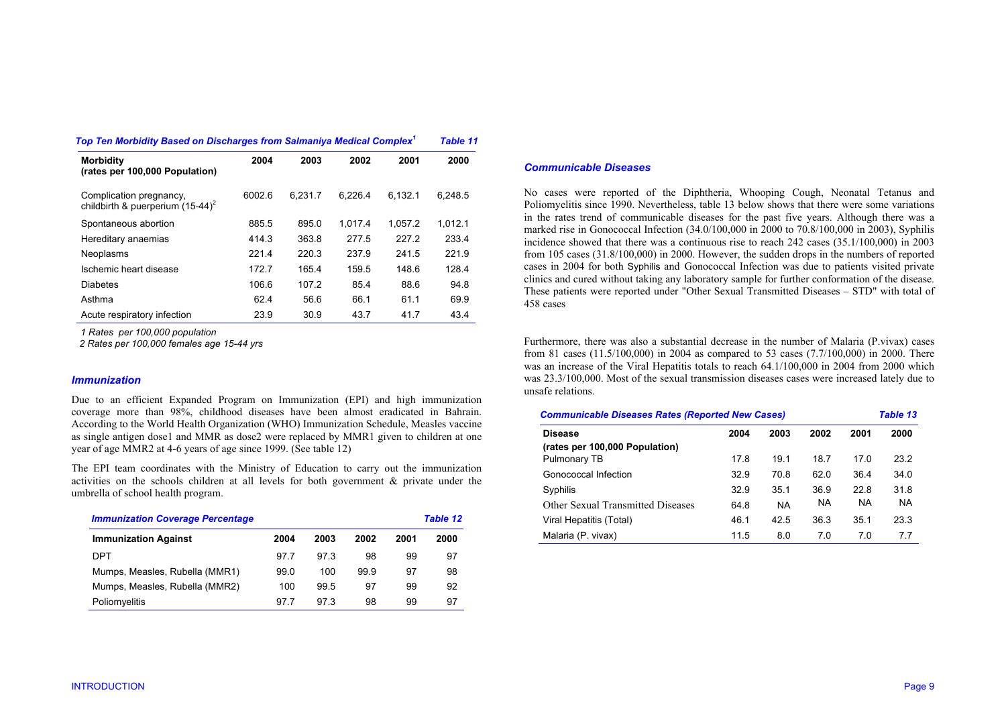| Top Ten Morbidity Based on Discharges from Salmaniya Medical Complex $^\text{\tiny\text{\tiny{\textit{1}}}}$ |        |         |         |         |         |  |  |
|--------------------------------------------------------------------------------------------------------------|--------|---------|---------|---------|---------|--|--|
| <b>Morbidity</b><br>(rates per 100,000 Population)                                                           | 2004   | 2003    | 2002    | 2001    | 2000    |  |  |
| Complication pregnancy,<br>childbirth & puerperium $(15-44)^2$                                               | 6002.6 | 6.231.7 | 6.226.4 | 6.132.1 | 6.248.5 |  |  |
| Spontaneous abortion                                                                                         | 885.5  | 895.0   | 1.017.4 | 1.057.2 | 1.012.1 |  |  |
| Hereditary anaemias                                                                                          | 414.3  | 363.8   | 277.5   | 227.2   | 233.4   |  |  |
| Neoplasms                                                                                                    | 221.4  | 220.3   | 237.9   | 241.5   | 221.9   |  |  |
| Ischemic heart disease                                                                                       | 172.7  | 165.4   | 159.5   | 148.6   | 128.4   |  |  |
| <b>Diabetes</b>                                                                                              | 106.6  | 107.2   | 85.4    | 88.6    | 94.8    |  |  |
| Asthma                                                                                                       | 62.4   | 56.6    | 66.1    | 61.1    | 69.9    |  |  |
| Acute respiratory infection                                                                                  | 23.9   | 30.9    | 43.7    | 41.7    | 43.4    |  |  |

*1 Rates per 100,000 population* 

 *2 Rates per 100,000 females age 15-44 yrs* 

#### *Immunization*

Due to an efficient Expanded Program on Immunization (EPI) and high immunization coverage more than 98%, childhood diseases have been almost eradicated in Bahrain. According to the World Health Organization (WHO) Immunization Schedule, Measles vaccine as single antigen dose1 and MMR as dose2 were replaced by MMR1 given to children at one year of age MMR2 at 4-6 years of age since 1999. (See table 12)

The EPI team coordinates with the Ministry of Education to carry out the immunization activities on the schools children at all levels for both government & private under the umbrella of school health program.

| <b>Immunization Coverage Percentage</b> |      |      |      |      | <b>Table 12</b> |  |
|-----------------------------------------|------|------|------|------|-----------------|--|
| <b>Immunization Against</b>             | 2004 | 2003 | 2002 | 2001 | 2000            |  |
| DPT                                     | 977  | 97.3 | 98   | 99   | 97              |  |
| Mumps, Measles, Rubella (MMR1)          | 99.0 | 100  | 99.9 | 97   | 98              |  |
| Mumps, Measles, Rubella (MMR2)          | 100  | 99.5 | 97   | 99   | 92              |  |
| Poliomyelitis                           | 977  | 97.3 | 98   | 99   | 97              |  |

## *Communicable Diseases*

No cases were reported of the Diphtheria, Whooping Cough, Neonatal Tetanus and Poliomyelitis since 1990. Nevertheless, table 13 below shows that there were some variations in the rates trend of communicable diseases for the past five years. Although there was a marked rise in Gonococcal Infection (34.0/100,000 in 2000 to 70.8/100,000 in 2003), Syphilis incidence showed that there was a continuous rise to reach 242 cases (35.1/100,000) in 2003 from 105 cases (31.8/100,000) in 2000. However, the sudden drops in the numbers of reported cases in 2004 for both Syphilis and Gonococcal Infection was due to patients visited private clinics and cured without taking any laboratory sample for further conformation of the disease. These patients were reported under "Other Sexual Transmitted Diseases – STD" with total of 458 cases

Furthermore, there was also a substantial decrease in the number of Malaria (P.vivax) cases from 81 cases (11.5/100,000) in 2004 as compared to 53 cases (7.7/100,000) in 2000. There was an increase of the Viral Hepatitis totals to reach 64.1/100,000 in 2004 from 2000 which was 23.3/100,000. Most of the sexual transmission diseases cases were increased lately due to unsafe relations.

|      | <b>Table 13</b> |                                                         |           |           |
|------|-----------------|---------------------------------------------------------|-----------|-----------|
| 2004 | 2003            | 2002                                                    | 2001      | 2000      |
|      |                 |                                                         |           |           |
| 17.8 | 19.1            | 18.7                                                    | 17.0      | 23.2      |
| 32.9 | 70.8            | 62.0                                                    | 36.4      | 34.0      |
| 32.9 | 35.1            | 36.9                                                    | 22.8      | 31.8      |
| 64.8 | <b>NA</b>       | <b>NA</b>                                               | <b>NA</b> | <b>NA</b> |
| 46.1 | 42.5            | 36.3                                                    | 35.1      | 23.3      |
| 11.5 | 8.0             | 7.0                                                     | 70        | 77        |
|      |                 | <b>Communicable Diseases Rates (Reported New Cases)</b> |           |           |